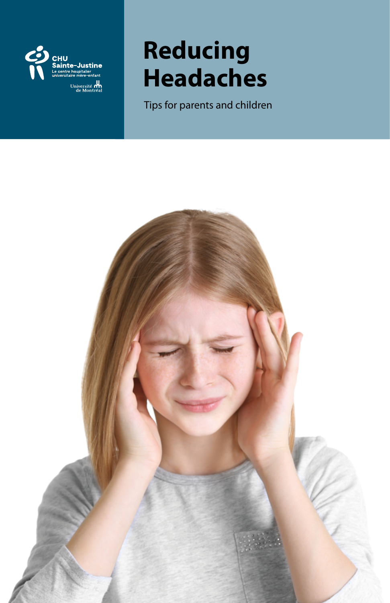

# **Reducing Headaches**

Tips for parents and children

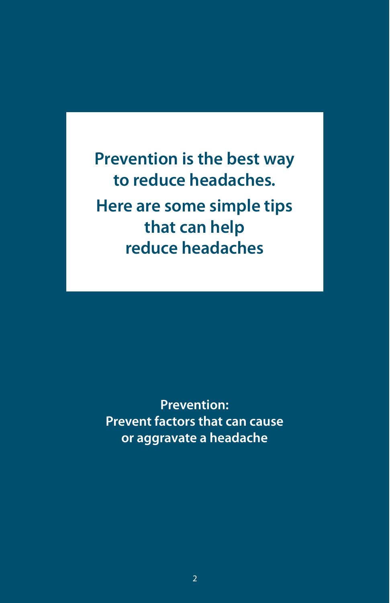**Prevention is the best way to reduce headaches. Here are some simple tips that can help reduce headaches**

**Prevention: Prevent factors that can cause or aggravate a headache**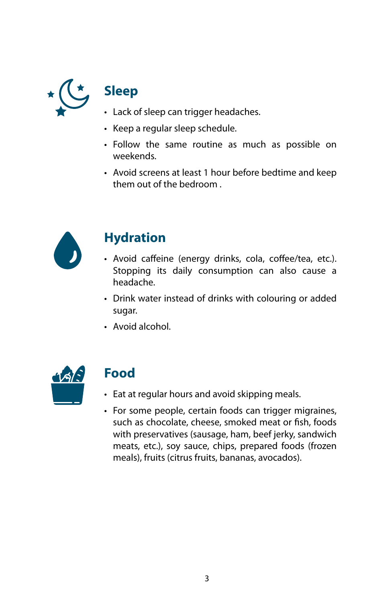

## **Sleep**

- Lack of sleep can trigger headaches.
- Keep a regular sleep schedule.
- Follow the same routine as much as possible on weekends.
- Avoid screens at least 1 hour before bedtime and keep them out of the bedroom .



## **Hydration**

- Avoid caffeine (energy drinks, cola, coffee/tea, etc.). Stopping its daily consumption can also cause a headache.
- Drink water instead of drinks with colouring or added sugar.
- Avoid alcohol.



## **Food**

- Eat at regular hours and avoid skipping meals.
- For some people, certain foods can trigger migraines, such as chocolate, cheese, smoked meat or fish, foods with preservatives (sausage, ham, beef jerky, sandwich meats, etc.), soy sauce, chips, prepared foods (frozen meals), fruits (citrus fruits, bananas, avocados).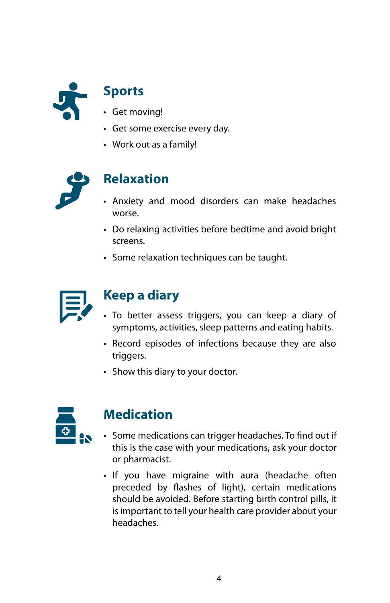

## **Sports**

- Get moving!
- Get some exercise every day.
- Work out as a family!



### **Relaxation**

- Anxiety and mood disorders can make headaches worse.
- Do relaxing activities before bedtime and avoid bright screens.
- Some relaxation techniques can be taught.



## **Keep a diary**

- To better assess triggers, you can keep a diary of symptoms, activities, sleep patterns and eating habits.
- Record episodes of infections because they are also triggers.
- Show this diary to your doctor.



### **Medication**

- Some medications can trigger headaches. To find out if this is the case with your medications, ask your doctor or pharmacist.
- If you have migraine with aura (headache often preceded by flashes of light), certain medications should be avoided. Before starting birth control pills, it is important to tell your health care provider about your headaches.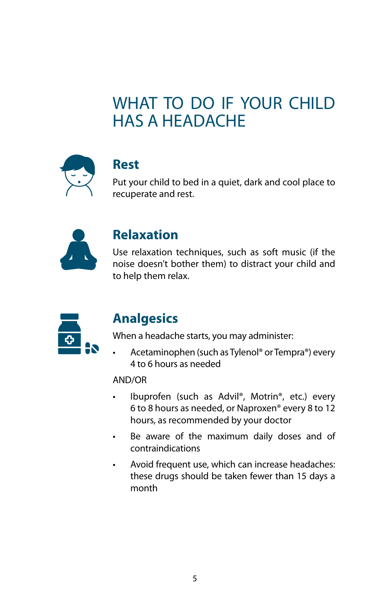## WHAT TO DO IF YOUR CHILD HAS A HEADACHE



#### **Rest**

Put your child to bed in a quiet, dark and cool place to recuperate and rest.



#### **Relaxation**

Use relaxation techniques, such as soft music (if the noise doesn't bother them) to distract your child and to help them relax.



### **Analgesics**

When a headache starts, you may administer:

• Acetaminophen (such as Tylenol® or Tempra®) every 4 to 6 hours as needed

#### AND/OR

- Ibuprofen (such as Advil®, Motrin®, etc.) every 6 to 8 hours as needed, or Naproxen® every 8 to 12 hours, as recommended by your doctor
- Be aware of the maximum daily doses and of contraindications
- Avoid frequent use, which can increase headaches: these drugs should be taken fewer than 15 days a month